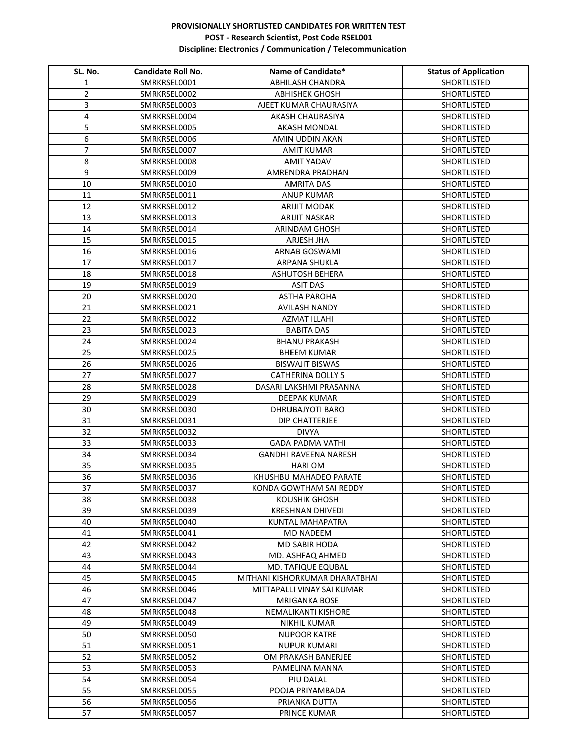## **PROVISIONALLY SHORTLISTED CANDIDATES FOR WRITTEN TEST POST - Research Scientist, Post Code RSEL001 Discipline: Electronics / Communication / Telecommunication**

| SL. No.        | Candidate Roll No.           | Name of Candidate*                       | <b>Status of Application</b>      |
|----------------|------------------------------|------------------------------------------|-----------------------------------|
| 1              | SMRKRSEL0001                 | <b>ABHILASH CHANDRA</b>                  | SHORTLISTED                       |
| $\overline{2}$ | SMRKRSEL0002                 | <b>ABHISHEK GHOSH</b>                    | SHORTLISTED                       |
| 3              | SMRKRSEL0003                 | AJEET KUMAR CHAURASIYA                   | SHORTLISTED                       |
| 4              | SMRKRSEL0004                 | <b>AKASH CHAURASIYA</b>                  | <b>SHORTLISTED</b>                |
| 5              | SMRKRSEL0005                 | <b>AKASH MONDAL</b>                      | SHORTLISTED                       |
| 6              | SMRKRSEL0006                 | AMIN UDDIN AKAN                          | <b>SHORTLISTED</b>                |
| $\overline{7}$ | SMRKRSEL0007                 | <b>AMIT KUMAR</b>                        | SHORTLISTED                       |
| 8              | SMRKRSEL0008                 | <b>AMIT YADAV</b>                        | <b>SHORTLISTED</b>                |
| 9              | SMRKRSEL0009                 | AMRENDRA PRADHAN                         | <b>SHORTLISTED</b>                |
| 10             | SMRKRSEL0010                 | AMRITA DAS                               | SHORTLISTED                       |
| 11             | SMRKRSEL0011                 | ANUP KUMAR                               | SHORTLISTED                       |
| 12             | SMRKRSEL0012                 | ARIJIT MODAK                             | SHORTLISTED                       |
| 13             | SMRKRSEL0013                 | <b>ARIJIT NASKAR</b>                     | SHORTLISTED                       |
| 14             | SMRKRSEL0014                 | <b>ARINDAM GHOSH</b>                     | SHORTLISTED                       |
| 15             | SMRKRSEL0015                 | ARJESH JHA                               | SHORTLISTED                       |
| 16             | SMRKRSEL0016                 | <b>ARNAB GOSWAMI</b>                     | SHORTLISTED                       |
| 17             | SMRKRSEL0017                 | ARPANA SHUKLA                            | SHORTLISTED                       |
| 18             | SMRKRSEL0018                 | <b>ASHUTOSH BEHERA</b>                   | SHORTLISTED                       |
| 19             | SMRKRSEL0019                 | <b>ASIT DAS</b>                          | SHORTLISTED                       |
| 20             | SMRKRSEL0020                 | <b>ASTHA PAROHA</b>                      | SHORTLISTED                       |
| 21             | SMRKRSEL0021                 | <b>AVILASH NANDY</b>                     | SHORTLISTED                       |
| 22             | SMRKRSEL0022                 | AZMAT ILLAHI                             | SHORTLISTED                       |
| 23             | SMRKRSEL0023                 | <b>BABITA DAS</b>                        | SHORTLISTED                       |
| 24             | SMRKRSEL0024                 | <b>BHANU PRAKASH</b>                     | SHORTLISTED                       |
| 25             | SMRKRSEL0025                 | <b>BHEEM KUMAR</b>                       | SHORTLISTED                       |
| 26             | SMRKRSEL0026                 | <b>BISWAJIT BISWAS</b>                   | SHORTLISTED                       |
| 27             | SMRKRSEL0027                 | <b>CATHERINA DOLLY S</b>                 | SHORTLISTED                       |
| 28             | SMRKRSEL0028                 | DASARI LAKSHMI PRASANNA                  | SHORTLISTED                       |
| 29             | SMRKRSEL0029                 | DEEPAK KUMAR                             | SHORTLISTED                       |
| 30             | SMRKRSEL0030                 | <b>DHRUBAJYOTI BARO</b>                  | SHORTLISTED                       |
| 31             | SMRKRSEL0031                 | DIP CHATTERJEE                           | SHORTLISTED                       |
| 32             | SMRKRSEL0032                 | <b>DIVYA</b>                             | SHORTLISTED                       |
| 33             | SMRKRSEL0033                 | <b>GADA PADMA VATHI</b>                  | SHORTLISTED                       |
| 34             | SMRKRSEL0034                 | <b>GANDHI RAVEENA NARESH</b>             | SHORTLISTED                       |
|                |                              |                                          |                                   |
| 35<br>36       | SMRKRSEL0035<br>SMRKRSEL0036 | <b>HARI OM</b><br>KHUSHBU MAHADEO PARATE | SHORTLISTED<br><b>SHORTLISTED</b> |
| 37             |                              | KONDA GOWTHAM SAI REDDY                  |                                   |
|                | SMRKRSEL0037<br>SMRKRSEL0038 |                                          | <b>SHORTLISTED</b>                |
| 38<br>39       |                              | <b>KOUSHIK GHOSH</b>                     | SHORTLISTED                       |
| 40             | SMRKRSEL0039                 | <b>KRESHNAN DHIVEDI</b>                  | SHORTLISTED                       |
|                | SMRKRSEL0040                 | KUNTAL MAHAPATRA                         | SHORTLISTED                       |
| 41<br>42       | SMRKRSEL0041<br>SMRKRSEL0042 | MD NADEEM<br><b>MD SABIR HODA</b>        | SHORTLISTED<br>SHORTLISTED        |
| 43             |                              |                                          |                                   |
| 44             | SMRKRSEL0043                 | MD. ASHFAQ AHMED                         | SHORTLISTED                       |
|                | SMRKRSEL0044                 | MD. TAFIQUE EQUBAL                       | SHORTLISTED                       |
| 45<br>46       | SMRKRSEL0045<br>SMRKRSEL0046 | MITHANI KISHORKUMAR DHARATBHAI           | SHORTLISTED                       |
|                |                              | MITTAPALLI VINAY SAI KUMAR               | SHORTLISTED                       |
| 47             | SMRKRSEL0047                 | MRIGANKA BOSE                            | SHORTLISTED                       |
| 48             | SMRKRSEL0048                 | NEMALIKANTI KISHORE                      | SHORTLISTED                       |
| 49             | SMRKRSEL0049                 | NIKHIL KUMAR                             | SHORTLISTED                       |
| 50             | SMRKRSEL0050                 | <b>NUPOOR KATRE</b>                      | SHORTLISTED                       |
| 51             | SMRKRSEL0051                 | <b>NUPUR KUMARI</b>                      | SHORTLISTED                       |
| 52             | SMRKRSEL0052                 | OM PRAKASH BANERJEE                      | SHORTLISTED                       |
| 53             | SMRKRSEL0053                 | PAMELINA MANNA                           | SHORTLISTED                       |
| 54             | SMRKRSEL0054                 | PIU DALAL                                | <b>SHORTLISTED</b>                |
| 55             | SMRKRSEL0055                 | POOJA PRIYAMBADA                         | <b>SHORTLISTED</b>                |
| 56             | SMRKRSEL0056                 | PRIANKA DUTTA                            | SHORTLISTED                       |
| 57             | SMRKRSEL0057                 | PRINCE KUMAR                             | SHORTLISTED                       |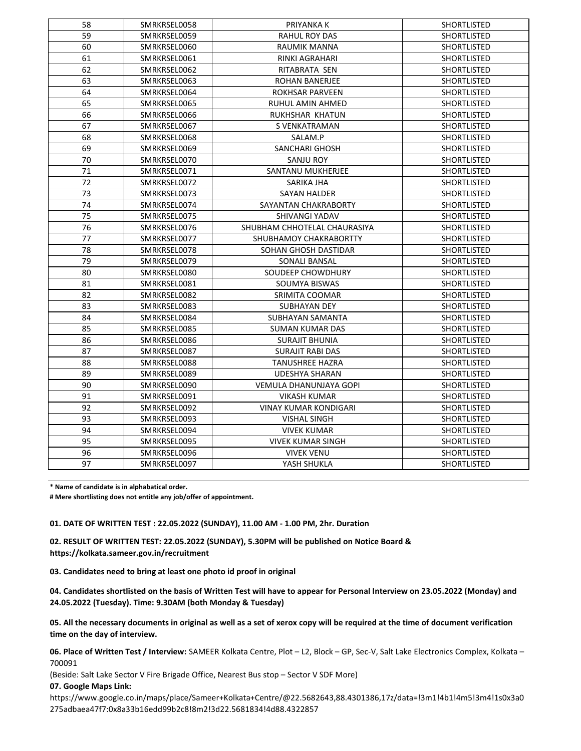| 58 | SMRKRSEL0058 | PRIYANKA K                   | <b>SHORTLISTED</b> |
|----|--------------|------------------------------|--------------------|
| 59 | SMRKRSEL0059 | RAHUL ROY DAS                | <b>SHORTLISTED</b> |
| 60 | SMRKRSEL0060 | RAUMIK MANNA                 | <b>SHORTLISTED</b> |
| 61 | SMRKRSEL0061 | RINKI AGRAHARI               | <b>SHORTLISTED</b> |
| 62 | SMRKRSEL0062 | RITABRATA SEN                | <b>SHORTLISTED</b> |
| 63 | SMRKRSEL0063 | <b>ROHAN BANERJEE</b>        | <b>SHORTLISTED</b> |
| 64 | SMRKRSEL0064 | ROKHSAR PARVEEN              | SHORTLISTED        |
| 65 | SMRKRSEL0065 | RUHUL AMIN AHMED             | <b>SHORTLISTED</b> |
| 66 | SMRKRSEL0066 | RUKHSHAR KHATUN              | <b>SHORTLISTED</b> |
| 67 | SMRKRSEL0067 | S VENKATRAMAN                | <b>SHORTLISTED</b> |
| 68 | SMRKRSEL0068 | SALAM.P                      | <b>SHORTLISTED</b> |
| 69 | SMRKRSEL0069 | SANCHARI GHOSH               | SHORTLISTED        |
| 70 | SMRKRSEL0070 | SANJU ROY                    | SHORTLISTED        |
| 71 | SMRKRSEL0071 | SANTANU MUKHERJEE            | SHORTLISTED        |
| 72 | SMRKRSEL0072 | SARIKA JHA                   | <b>SHORTLISTED</b> |
| 73 | SMRKRSEL0073 | SAYAN HALDER                 | SHORTLISTED        |
| 74 | SMRKRSEL0074 | SAYANTAN CHAKRABORTY         | SHORTLISTED        |
| 75 | SMRKRSEL0075 | SHIVANGI YADAV               | SHORTLISTED        |
| 76 | SMRKRSEL0076 | SHUBHAM CHHOTELAL CHAURASIYA | <b>SHORTLISTED</b> |
| 77 | SMRKRSEL0077 | SHUBHAMOY CHAKRABORTTY       | <b>SHORTLISTED</b> |
| 78 | SMRKRSEL0078 | SOHAN GHOSH DASTIDAR         | <b>SHORTLISTED</b> |
| 79 | SMRKRSEL0079 | SONALI BANSAL                | SHORTLISTED        |
| 80 | SMRKRSEL0080 | SOUDEEP CHOWDHURY            | <b>SHORTLISTED</b> |
| 81 | SMRKRSEL0081 | SOUMYA BISWAS                | <b>SHORTLISTED</b> |
| 82 | SMRKRSEL0082 | SRIMITA COOMAR               | <b>SHORTLISTED</b> |
| 83 | SMRKRSEL0083 | SUBHAYAN DEY                 | SHORTLISTED        |
| 84 | SMRKRSEL0084 | SUBHAYAN SAMANTA             | <b>SHORTLISTED</b> |
| 85 | SMRKRSEL0085 | SUMAN KUMAR DAS              | SHORTLISTED        |
| 86 | SMRKRSEL0086 | <b>SURAJIT BHUNIA</b>        | <b>SHORTLISTED</b> |
| 87 | SMRKRSEL0087 | <b>SURAJIT RABI DAS</b>      | <b>SHORTLISTED</b> |
| 88 | SMRKRSEL0088 | <b>TANUSHREE HAZRA</b>       | <b>SHORTLISTED</b> |
| 89 | SMRKRSEL0089 | <b>UDESHYA SHARAN</b>        | <b>SHORTLISTED</b> |
| 90 | SMRKRSEL0090 | VEMULA DHANUNJAYA GOPI       | SHORTLISTED        |
| 91 | SMRKRSEL0091 | <b>VIKASH KUMAR</b>          | <b>SHORTLISTED</b> |
| 92 | SMRKRSEL0092 | VINAY KUMAR KONDIGARI        | SHORTLISTED        |
| 93 | SMRKRSEL0093 | <b>VISHAL SINGH</b>          | SHORTLISTED        |
| 94 | SMRKRSEL0094 | <b>VIVEK KUMAR</b>           | SHORTLISTED        |
| 95 | SMRKRSEL0095 | <b>VIVEK KUMAR SINGH</b>     | SHORTLISTED        |
| 96 | SMRKRSEL0096 | <b>VIVEK VENU</b>            | SHORTLISTED        |
| 97 | SMRKRSEL0097 | YASH SHUKLA                  | <b>SHORTLISTED</b> |

**\* Name of candidate is in alphabatical order.**

**# Mere shortlisting does not entitle any job/offer of appointment.**

## **01. DATE OF WRITTEN TEST : 22.05.2022 (SUNDAY), 11.00 AM - 1.00 PM, 2hr. Duration**

**02. RESULT OF WRITTEN TEST: 22.05.2022 (SUNDAY), 5.30PM will be published on Notice Board & https://kolkata.sameer.gov.in/recruitment**

**03. Candidates need to bring at least one photo id proof in original** 

**04. Candidates shortlisted on the basis of Written Test will have to appear for Personal Interview on 23.05.2022 (Monday) and 24.05.2022 (Tuesday). Time: 9.30AM (both Monday & Tuesday)**

**05. All the necessary documents in original as well as a set of xerox copy will be required at the time of document verification time on the day of interview.**

**06. Place of Written Test / Interview:** SAMEER Kolkata Centre, Plot – L2, Block – GP, Sec-V, Salt Lake Electronics Complex, Kolkata – 

(Beside: Salt Lake Sector V Fire Brigade Office, Nearest Bus stop – Sector V SDF More)

**07. Google Maps Link:** 

https://www.google.co.in/maps/place/Sameer+Kolkata+Centre/@22.5682643,88.4301386,17z/data=!3m1!4b1!4m5!3m4!1s0x3a0 275adbaea47f7:0x8a33b16edd99b2c8!8m2!3d22.5681834!4d88.4322857